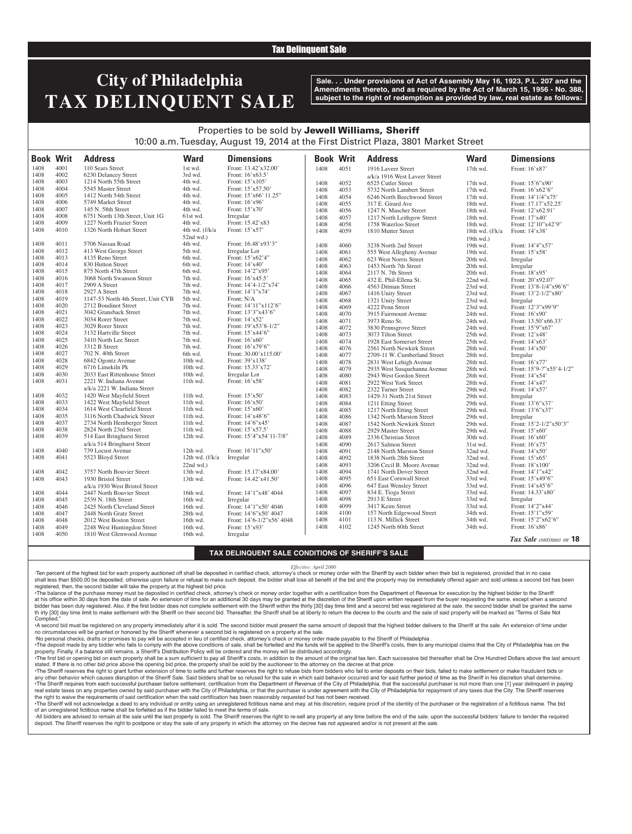## Tax Delinquent Sale

# **City of Philadelphia TAX DELINQUENT SALE**

**Sale. . . Under provisions of Act of Assembly May 16, 1923, P.L. 207 and the Amendments thereto, and as required by the Act of March 15, 1956 - No. 388, subject to the right of redemption as provided by law, real estate as follows:**

## Properties to be sold by Jewell Williams, Sheriff 10:00 a.m. Tuesday, August 19, 2014 at the First District Plaza, 3801 Market Street

| <b>Book Writ</b> |      | <b>Address</b>                     | <b>Ward</b>                   | <b>Dimensions</b>         | <b>Book Writ</b> |      | <b>Address</b>                | <b>Ward</b>     | <b>Dimensions</b>          |
|------------------|------|------------------------------------|-------------------------------|---------------------------|------------------|------|-------------------------------|-----------------|----------------------------|
| 1408             | 4001 | 110 Sears Street                   | 1st wd.                       | Front: 13.42'x32.00'      |                  |      |                               |                 |                            |
| 1408             | 4002 | 6230 Delancey Street               | 3rd wd.                       | Front: 16'x63.5'          | 1408             | 4051 | 1916 Laveer Street            | 17th wd.        | Front: 16'x87'             |
| 1408             | 4003 | 1214 North 55th Street             | 4th wd.                       | Front: 15'x105'           |                  |      | a/k/a 1916 West Laveer Street |                 |                            |
| 1408             | 4004 | 5545 Master Street                 | 4th wd.                       | Front: 15'x57.50°         | 1408             | 4052 | 6525 Cutler Street            | 17th wd.        | Front: 15'6"x90'           |
| 1408             | 4005 | 1412 North 54th Street             | 4th wd.                       | Front: 15'x66' 11.25"     | 1408             | 4053 | 5732 North Lambert Street     | 17th wd.        | Front: 16'x62'6"           |
| 1408             | 4006 | 5749 Market Street                 | 4th wd.                       | Front: 16'x96'            | 1408             | 4054 | 6246 North Beechwood Street   | 17th wd.        | Front: 14'1/4"x75'         |
|                  | 4007 |                                    |                               |                           | 1408             | 4055 | 317 E. Girard Ave             | 18th wd.        | Front: 17.17'x52.25'       |
| 1408             | 4008 | 145 N. 58th Street                 | 4th wd.                       | Front: 15'x70'            | 1408             | 4056 | 1247 N. Mascher Street        | 18th wd.        | Front: 12'x62.91'          |
| 1408             |      | 6751 North 13th Street, Unit 1G    | 61st wd.                      | Irregular                 | 1408             | 4057 | 1217 North Leithgow Street    | 18th wd.        | Front: 17'x40'             |
| 1408             | 4009 | 1227 North Frazier Street          | 4th wd.                       | Front: 15.42'x83          | 1408             | 4058 | 1758 Waterloo Street          | 18th wd.        | Front: 12'10"x42'9"        |
| 1408             | 4010 | 1326 North Hobart Street           | 4th wd. (f/k/a<br>$52nd$ wd.) | Front: 15'x57'            | 1408             | 4059 | 1810 Mutter Street            | 18th wd. (f/k/a | Front: 14'x38'             |
| 1408             | 4011 | 5706 Nassau Road                   | 4th wd.                       | Front: 16.48'x93'3"       |                  |      |                               | 19th wd.)       |                            |
| 1408             | 4012 | 413 West George Street             | 5th wd.                       | Irregular Lot             | 1408             | 4060 | 3238 North 2nd Street         | 19th wd.        | Front: 14'4"x57'           |
| 1408             | 4013 | 4135 Reno Street                   | 6th wd.                       | Front: 15'x62'4"          | 1408             | 4061 | 555 West Allegheny Avenue     | 19th wd.        | Front: 15'x58'             |
| 1408             | 4014 | 830 Hutton Street                  |                               | Front: 14'x40'            | 1408             | 4062 | 623 West Norris Street        | 20th wd.        | Irregular                  |
| 1408             | 4015 | 875 North 47th Street              | 6th wd.<br>6th wd.            | Front: 14'2"x95'          | 1408             | 4063 | 1453 North 7th Street         | 20th wd.        | Irregular                  |
| 1408             | 4016 | 3068 North Swanson Street          | 7th wd.                       | Front: 16'x45.5'          | 1408             | 4064 | 2117 N. 7th Street            | 20th wd.        | Front: 18'x95'             |
|                  |      |                                    |                               |                           | 1408             | 4065 | 432 E. Phil-Ellena St.        | 22nd wd.        | Front: 20'x92.07'          |
| 1408             | 4017 | 2909 A Street                      | 7th wd.                       | Front: 14'4-1/2"x74'      | 1408             | 4066 | 4563 Ditman Street            | 23rd wd.        | Front: $13'8-1/4''x96'6''$ |
| 1408             | 4018 | 2927 A Street                      | 7th wd.                       | Front: 14'1"x74'          | 1408             | 4067 | 1416 Unity Street             | 23rd wd.        | Front: 13'2-1/2"x80'       |
| 1408             | 4019 | 1147-53 North 4th Street, Unit CYB | 5th wd.                       | Front: N/A                | 1408             | 4068 | 1321 Unity Street             | 23rd wd.        | Irregular                  |
| 1408             | 4020 | 2712 Boudinot Street               | 7th wd.                       | Front: 14'11"x112'6"      | 1408             | 4069 | 4222 Penn Street              | 23rd wd.        | Front: 12'3"x99'9"         |
| 1408             | 4021 | 3042 Gransback Street              | 7th wd.                       | Front: 13'3"x43'6"        | 1408             | 4070 | 3915 Fairmount Avenue         | 24th wd.        | Front: 16'x90'             |
| 1408             | 4022 | 3034 Rorer Street                  | 7th wd.                       | Front: 14'x52'            | 1408             | 4071 | 3973 Reno St.                 | 24th wd.        | Front: 13.50'x66.33'       |
| 1408             | 4023 | 3029 Rorer Street                  | 7th wd.                       | Front: 19'x53'8-1/2"      | 1408             | 4072 | 3830 Pennsgrove Street        | 24th wd.        | Front: 15'9"x67'           |
| 1408             | 4024 | 3132 Hartville Street              | 7th wd.                       | Front: 15'x44'6"          | 1408             | 4073 | 3073 Tilton Street            | 25th wd.        | Front: 12'x48'             |
| 1408             | 4025 | 3410 North Lee Street              | 7th wd.                       | Front: 16'x60'            | 1408             | 4074 | 1928 East Somerset Street     | 25th wd.        | Front: $14'x63'$           |
| 1408             | 4026 | 3312 B Street                      | 7th wd.                       | Front: $16'x79'6"$        | 1408             | 4076 | 2561 North Newkirk Street     | 28th wd.        | Front: 14'x50'             |
| 1408             | 4027 | 702 N. 40th Street                 | 6th wd.                       | Front: 30.00'x115.00'     | 1408             | 4077 | 2709-11 W. Cumberland Street  | 28th wd.        | Irregular                  |
| 1408             | 4028 | 6842 Ogontz Avenue                 | 10th wd.                      | Front: 39'x138'           | 1408             | 4078 | 2831 West Lehigh Avenue       | 28th wd.        | Front: 16'x77'             |
| 1408             | 4029 | 6716 Limekiln Pk                   | 10th wd.                      | Front: 15.33'x72'         | 1408             | 4079 | 2935 West Susquehanna Avenue  | 28th wd.        | Front: 15'9-?"x55'4-1/2"   |
| 1408             | 4030 | 2033 East Rittenhouse Street       | 10th wd.                      | Irregular Lot             | 1408             | 4080 | 2943 West Gordon Street       | 28th wd.        | Front: $14'x54'$           |
| 1408             | 4031 | 2221 W. Indiana Avenue             | 11th wd.                      | Front: 16'x58'            | 1408             | 4081 | 2922 West York Street         | 28th wd.        | Front: 14'x47'             |
|                  |      | a/k/a 2221 W. Indiana Street       |                               |                           | 1408             | 4082 | 2322 Turner Street            | 29th wd.        | Front: 14'x57'             |
| 1408             | 4032 | 1420 West Mayfield Street          | 11th wd.                      | Front: 15'x50'            | 1408             | 4083 | 1429-31 North 21st Street     | 29th wd.        | Irregular                  |
| 1408             | 4033 | 1422 West Mayfield Street          | 11th wd.                      | Front: 16'x50'            | 1408             | 4084 | 1211 Etting Street            | 29th wd.        | Front: 13'6"x37'           |
| 1408             | 4034 | 1614 West Clearfield Street        | $11th$ wd.                    | Front: 15'x60'            | 1408             | 4085 | 1217 North Etting Street      | 29th wd.        | Front: 13'6"x37'           |
| 1408             | 4035 | 3116 North Chadwick Street         | 11th wd.                      | Front: 14'x48'6"          | 1408             | 4086 | 1342 North Marston Street     | 29th wd.        | Irregular                  |
| 1408             | 4037 | 2734 North Hemberger Street        | 11th wd.                      | Front: 14'6"x45'          | 1408             | 4087 | 1542 North Newkirk Street     | 29th wd.        | Front: 15'2-1/2"x50'3"     |
| 1408             | 4038 | 2824 North 23rd Street             | 11th wd.                      | Front: 15'x57.5'          | 1408             | 4088 | 2929 Master Street            | 29th wd.        | Front: $15'x60'$           |
| 1408             | 4039 | 514 East Bringhurst Street         | 12th wd.                      | Front: 15'4"x54'11-7/8"   | 1408             | 4089 | 2336 Christian Street         | 30th wd.        | Front: 16'x60'             |
|                  |      | a/k/a 514 Bringhurst Street        |                               |                           | 1408             | 4090 | 2617 Salmon Street            | 31st wd.        | Front: $16'x75'$           |
| 1408             | 4040 | 739 Locust Avenue                  | 12th wd.                      | Front: 16'11"x50'         | 1408             | 4091 | 2148 North Marston Street     | 32nd wd.        | Front: $14'x50'$           |
| 1408             | 4041 | 5523 Bloyd Street                  | 12th wd. $(f/k/a)$            | Irregular                 | 1408             | 4092 | 1838 North 28th Street        | 32nd wd.        | Front: 15'x65'             |
|                  |      |                                    | $22nd$ wd.)                   |                           | 1408             | 4093 | 3206 Cecil B. Moore Avenue    | 32nd wd.        | Front: $18'x100'$          |
| 1408             | 4042 | 3757 North Bouvier Street          | 13th wd.                      | Front: 15.17'x84.00'      | 1408             | 4094 | 1741 North Dover Street       | 32nd wd.        | Front: 14'1"x42'           |
| 1408             | 4043 | 1930 Bristol Street                | 13th wd.                      | Front: 14.42'x41.50'      | 1408             | 4095 | 651 East Cornwall Street      | 33rd wd.        | Front: 15'x49'6"           |
|                  |      | a/k/a 1930 West Bristol Street     |                               |                           | 1408             | 4096 | 647 East Wensley Street       | 33rd wd.        | Front: $14'x45'6"$         |
| 1408             | 4044 | 2447 North Bouvier Street          | 16th wd.                      | Front: 14'1"x48' 4044     | 1408             | 4097 | 834 E. Tioga Street           | 33rd wd.        | Front: 14.33'x80'          |
| 1408             | 4045 | 2539 N. 18th Street                | 16th wd.                      | Irregular                 | 1408             | 4098 | 2913 E Street                 | 33rd wd.        | Irregular                  |
| 1408             | 4046 | 2425 North Cleveland Street        | 16th wd.                      | Front: 14'1"x50' 4046     | 1408             | 4099 | 3417 Keim Street              | 33rd wd.        | Front: 14'2"x44'           |
| 1408             | 4047 | 2448 North Gratz Street            | 28th wd.                      | Front: 14'6"x50' 4047     | 1408             | 4100 | 157 North Edgewood Street     | 34th wd.        | Front: 15'1"x59'           |
| 1408             | 4048 | 2012 West Boston Street            | 16th wd.                      | Front: 14'6-1/2"x56' 4048 | 1408             | 4101 | 113 N. Millick Street         | 34th wd.        | Front: 15'2"x62'6"         |
| 1408             | 4049 | 2248 West Huntingdon Street        | 16th wd.                      | Front: 15'x93'            | 1408             | 4102 | 1245 North 60th Street        | 34th wd.        | Front: 16'x86'             |
| 1408             | 4050 | 1810 West Glenwood Avenue          | 16th wd.                      | Irregular                 |                  |      |                               |                 |                            |
|                  |      |                                    |                               |                           |                  |      |                               |                 | Tax Sale continues on 18   |

#### **TAX DELINQUENT SALE CONDITIONS OF SHERIFF'S SALE**

#### *Effective: April 2000*

·Ten percent of the highest bid for each property auctioned off shall be deposited in certified check, attorney's check or money order with the Sheriff by each bidder when their bid is registered, provided that in no case shall less than \$500.00 be deposited, otherwise upon failure or refusal to make such deposit, the bidder shall lose all benefit of the bid and the property may be immediately offered again and sold unless a second bid has registered, then, the second bidder will take the property at the highest bid price.

•The balance of the purchase money must be deposited in certified check, attorney's check or money order together with a certification from the Department of Revenue for execution by the highest bidder to the Sheriff at his office within 30 days from the date of sale. An extension of time for an additional 30 days may be granted at the discretion of the Sheriff upon written request from the buyer requesting the same, except when a second bidder has been duly registered. Also, if the first bidder does not complete settlement with the Sheriff within the thirty [30] day time limit and a second bid was registered at the sale, the second bidder shall be granted th irty [30] day time limit to make settlement with the Sheriff on their second bid. Thereafter, the Sheriff shall be at liberty to return the decree to the courts and the sale of said property will be marked as "Terms of Complied.

•A second bid must be registered on any property immediately after it is sold. The second bidder must present the same amount of deposit that the highest bidder delivers to the Sheriff at the sale. An extension of time under no circumstances will be granted or honored by the Sheriff whenever a second bid is registered on a property at the sale.

·No personal checks, drafts or promises to pay will be accepted in lieu of certified check, attorney's check or money order made payable to the Sheriff of Philadelphia .

. The deposit made by any bidder who fails to comply with the above conditions of sale, shall be forteited and the funds will be applied to the Sheriff's costs, then to any municipal claims that the City of Philadelphia ha property. Finally, if a balance still remains, a Sheriff's Distribution Policy will be ordered and the money will be distributed accordingly.

The first bid or opening bid on each property shall be a sum sufficient to pay all Sheriff's costs, in addition to the amount of the original tax lien. Each successive bid thereafter shall be One Hundred Dollars above the stated. If there is no other bid price above the opening bid price, the property shall be sold by the auctioneer to the attorney on the decree at that price.

·The Sheriff reserves the right to grant further extension of time to settle and further reserves the right to refuse bids from bidders who fail to enter deposits on their bids, failed to make settlement or make fraudulent any other behavior which causes disruption of the Sheriff Sale. Said bidders shall be so refused for the sale in which said behavior occurred and for said further period of time as the Sheriff in his discretion shall deter . The Sheriff requires from each successful purchaser before settlement, certification from the Department of Revenue of the City of Philadelphia, that the successful purchaser is not more than one [1] year delinquent in p real estate taxes on any properties owned by said purchaser with the City of Philadelphia, or that the purchaser is under agreement with the City of Philadelphia for repayment of any taxes due the City. The Sheriff reserve the right to waive the requirements of said certification when the said certification has been reasonably requested but has not been received ·The Sheriff will not acknowledge a deed to any individual or entity using an unregistered fictitious name and may, at his discretion, require proof of the identity of the purchaser or the registration of a fictitious name

of an unregistered fictitious name shall be forfeited as if the bidder failed to meet the terms of sale.

All bidders are advised to remain at the sale until the last property is sold. The Sheriff reserves the right to re-sell any property at any time before the end of the sale, upon the successful bidders' failure to tender t deposit. The Sheriff reserves the right to postpone or stay the sale of any property in which the attorney on the decree has not appeared and/or is not present at the sale.